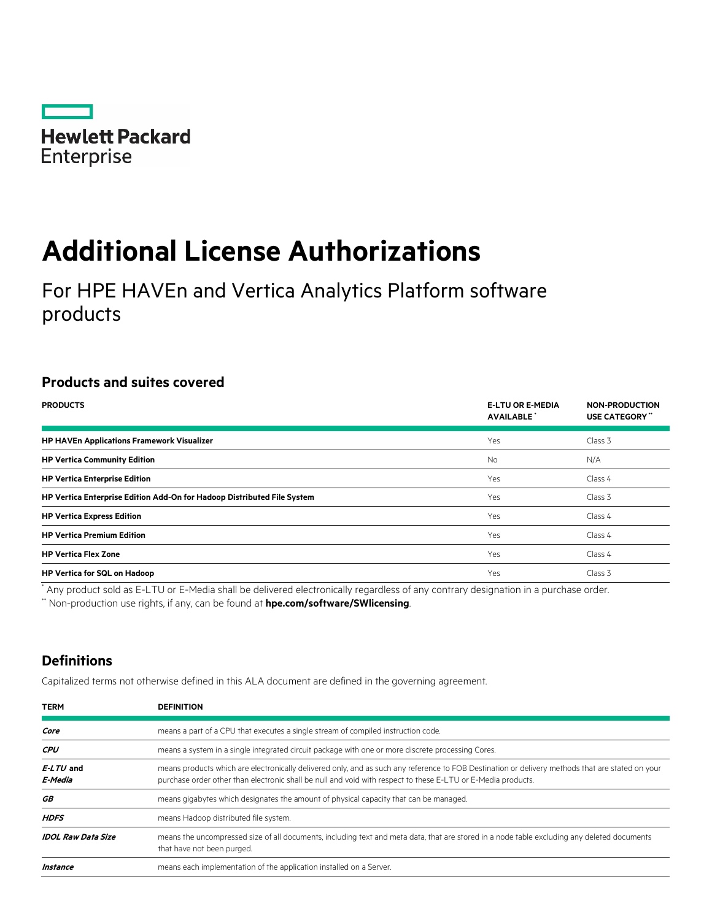

# **Additional License Authorizations**

For HPE HAVEn and Vertica Analytics Platform software products

## **Products and suites covered**

| <b>PRODUCTS</b>                                                         | <b>E-LTU OR E-MEDIA</b><br><b>AVAILABLE</b> | <b>NON-PRODUCTION</b><br>USE CATEGORY" |
|-------------------------------------------------------------------------|---------------------------------------------|----------------------------------------|
| <b>HP HAVEn Applications Framework Visualizer</b>                       | Yes                                         | Class 3                                |
| <b>HP Vertica Community Edition</b>                                     | <b>No</b>                                   | N/A                                    |
| <b>HP Vertica Enterprise Edition</b>                                    | Yes                                         | Class 4                                |
| HP Vertica Enterprise Edition Add-On for Hadoop Distributed File System | Yes                                         | Class 3                                |
| <b>HP Vertica Express Edition</b>                                       | Yes                                         | Class 4                                |
| <b>HP Vertica Premium Edition</b>                                       | Yes                                         | Class 4                                |
| <b>HP Vertica Flex Zone</b>                                             | Yes                                         | Class 4                                |
| <b>HP Vertica for SQL on Hadoop</b>                                     | Yes                                         | Class 3                                |

\* Any product sold as E-LTU or E-Media shall be delivered electronically regardless of any contrary designation in a purchase order.

\*\* Non-production use rights, if any, can be found at **[hpe.com/software/SWlicensing](http://www.hpe.com/software/SWlicensing)**.

## **Definitions**

Capitalized terms not otherwise defined in this ALA document are defined in the governing agreement.

| <b>TERM</b>               | <b>DEFINITION</b>                                                                                                                                                                                                                                                |  |
|---------------------------|------------------------------------------------------------------------------------------------------------------------------------------------------------------------------------------------------------------------------------------------------------------|--|
| Core                      | means a part of a CPU that executes a single stream of compiled instruction code.                                                                                                                                                                                |  |
| <b>CPU</b>                | means a system in a single integrated circuit package with one or more discrete processing Cores.                                                                                                                                                                |  |
| $E-LTU$ and<br>E-Media    | means products which are electronically delivered only, and as such any reference to FOB Destination or delivery methods that are stated on your<br>purchase order other than electronic shall be null and void with respect to these E-LTU or E-Media products. |  |
| GB                        | means gigabytes which designates the amount of physical capacity that can be managed.                                                                                                                                                                            |  |
| <b>HDFS</b>               | means Hadoop distributed file system.                                                                                                                                                                                                                            |  |
| <b>IDOL Raw Data Size</b> | means the uncompressed size of all documents, including text and meta data, that are stored in a node table excluding any deleted documents<br>that have not been purged.                                                                                        |  |
| Instance                  | means each implementation of the application installed on a Server.                                                                                                                                                                                              |  |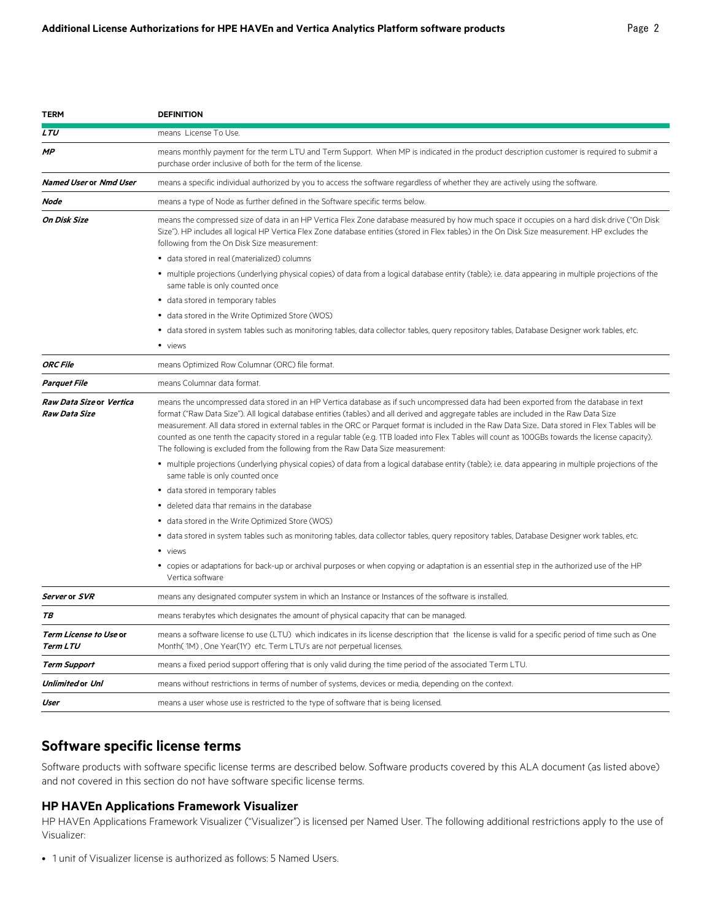| <b>LTU</b><br>means License To Use.<br><b>MP</b><br>means monthly payment for the term LTU and Term Support. When MP is indicated in the product description customer is required to submit a<br>purchase order inclusive of both for the term of the license.<br><b>Named User or Nmd User</b><br>means a specific individual authorized by you to access the software regardless of whether they are actively using the software.                                                                                                                                                                                                                                                                                                |                                                                                                                                                      |  |
|------------------------------------------------------------------------------------------------------------------------------------------------------------------------------------------------------------------------------------------------------------------------------------------------------------------------------------------------------------------------------------------------------------------------------------------------------------------------------------------------------------------------------------------------------------------------------------------------------------------------------------------------------------------------------------------------------------------------------------|------------------------------------------------------------------------------------------------------------------------------------------------------|--|
|                                                                                                                                                                                                                                                                                                                                                                                                                                                                                                                                                                                                                                                                                                                                    |                                                                                                                                                      |  |
|                                                                                                                                                                                                                                                                                                                                                                                                                                                                                                                                                                                                                                                                                                                                    |                                                                                                                                                      |  |
|                                                                                                                                                                                                                                                                                                                                                                                                                                                                                                                                                                                                                                                                                                                                    |                                                                                                                                                      |  |
| Node<br>means a type of Node as further defined in the Software specific terms below.                                                                                                                                                                                                                                                                                                                                                                                                                                                                                                                                                                                                                                              |                                                                                                                                                      |  |
| On Disk Size<br>means the compressed size of data in an HP Vertica Flex Zone database measured by how much space it occupies on a hard disk drive ("On Disk<br>Size"). HP includes all logical HP Vertica Flex Zone database entities (stored in Flex tables) in the On Disk Size measurement. HP excludes the<br>following from the On Disk Size measurement:                                                                                                                                                                                                                                                                                                                                                                     |                                                                                                                                                      |  |
| · data stored in real (materialized) columns                                                                                                                                                                                                                                                                                                                                                                                                                                                                                                                                                                                                                                                                                       |                                                                                                                                                      |  |
| • multiple projections (underlying physical copies) of data from a logical database entity (table); i.e. data appearing in multiple projections of the<br>same table is only counted once                                                                                                                                                                                                                                                                                                                                                                                                                                                                                                                                          |                                                                                                                                                      |  |
| • data stored in temporary tables                                                                                                                                                                                                                                                                                                                                                                                                                                                                                                                                                                                                                                                                                                  |                                                                                                                                                      |  |
| • data stored in the Write Optimized Store (WOS)                                                                                                                                                                                                                                                                                                                                                                                                                                                                                                                                                                                                                                                                                   |                                                                                                                                                      |  |
| • data stored in system tables such as monitoring tables, data collector tables, query repository tables, Database Designer work tables, etc.                                                                                                                                                                                                                                                                                                                                                                                                                                                                                                                                                                                      |                                                                                                                                                      |  |
| • views                                                                                                                                                                                                                                                                                                                                                                                                                                                                                                                                                                                                                                                                                                                            |                                                                                                                                                      |  |
| <b>ORC File</b><br>means Optimized Row Columnar (ORC) file format.                                                                                                                                                                                                                                                                                                                                                                                                                                                                                                                                                                                                                                                                 |                                                                                                                                                      |  |
| <b>Parquet File</b><br>means Columnar data format.                                                                                                                                                                                                                                                                                                                                                                                                                                                                                                                                                                                                                                                                                 |                                                                                                                                                      |  |
| means the uncompressed data stored in an HP Vertica database as if such uncompressed data had been exported from the database in text<br>Raw Data Size or Vertica<br><b>Raw Data Size</b><br>format ("Raw Data Size"). All logical database entities (tables) and all derived and aggregate tables are included in the Raw Data Size<br>measurement. All data stored in external tables in the ORC or Parquet format is included in the Raw Data Size. Data stored in Flex Tables will be<br>counted as one tenth the capacity stored in a regular table (e.g. 1TB loaded into Flex Tables will count as 100GBs towards the license capacity).<br>The following is excluded from the following from the Raw Data Size measurement: |                                                                                                                                                      |  |
| • multiple projections (underlying physical copies) of data from a logical database entity (table); i.e. data appearing in multiple projections of the<br>same table is only counted once                                                                                                                                                                                                                                                                                                                                                                                                                                                                                                                                          |                                                                                                                                                      |  |
| • data stored in temporary tables                                                                                                                                                                                                                                                                                                                                                                                                                                                                                                                                                                                                                                                                                                  |                                                                                                                                                      |  |
| • deleted data that remains in the database                                                                                                                                                                                                                                                                                                                                                                                                                                                                                                                                                                                                                                                                                        |                                                                                                                                                      |  |
| • data stored in the Write Optimized Store (WOS)                                                                                                                                                                                                                                                                                                                                                                                                                                                                                                                                                                                                                                                                                   |                                                                                                                                                      |  |
| • data stored in system tables such as monitoring tables, data collector tables, query repository tables, Database Designer work tables, etc.                                                                                                                                                                                                                                                                                                                                                                                                                                                                                                                                                                                      |                                                                                                                                                      |  |
| • views                                                                                                                                                                                                                                                                                                                                                                                                                                                                                                                                                                                                                                                                                                                            |                                                                                                                                                      |  |
| • copies or adaptations for back-up or archival purposes or when copying or adaptation is an essential step in the authorized use of the HP<br>Vertica software                                                                                                                                                                                                                                                                                                                                                                                                                                                                                                                                                                    |                                                                                                                                                      |  |
| Server or SVR<br>means any designated computer system in which an Instance or Instances of the software is installed.                                                                                                                                                                                                                                                                                                                                                                                                                                                                                                                                                                                                              |                                                                                                                                                      |  |
| means terabytes which designates the amount of physical capacity that can be managed.<br>TВ                                                                                                                                                                                                                                                                                                                                                                                                                                                                                                                                                                                                                                        |                                                                                                                                                      |  |
| <b>Term License to Use or</b><br>Term LTU<br>Month(1M), One Year(1Y) etc. Term LTU's are not perpetual licenses.                                                                                                                                                                                                                                                                                                                                                                                                                                                                                                                                                                                                                   | means a software license to use (LTU) which indicates in its license description that the license is valid for a specific period of time such as One |  |
| means a fixed period support offering that is only valid during the time period of the associated Term LTU.<br><b>Term Support</b>                                                                                                                                                                                                                                                                                                                                                                                                                                                                                                                                                                                                 |                                                                                                                                                      |  |
|                                                                                                                                                                                                                                                                                                                                                                                                                                                                                                                                                                                                                                                                                                                                    | means without restrictions in terms of number of systems, devices or media, depending on the context.                                                |  |
| <b>Unlimited or Unl</b>                                                                                                                                                                                                                                                                                                                                                                                                                                                                                                                                                                                                                                                                                                            |                                                                                                                                                      |  |

### **Software specific license terms**

Software products with software specific license terms are described below. Software products covered by this ALA document (as listed above) and not covered in this section do not have software specific license terms.

#### **HP HAVEn Applications Framework Visualizer**

HP HAVEn Applications Framework Visualizer ("Visualizer") is licensed per Named User. The following additional restrictions apply to the use of Visualizer:

• 1 unit of Visualizer license is authorized as follows: 5 Named Users.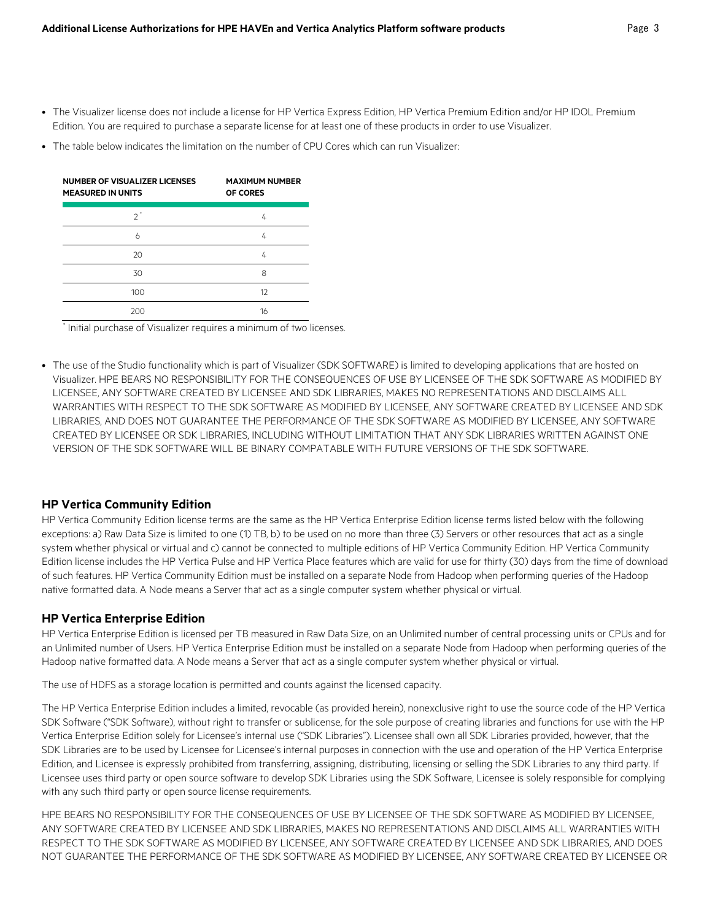- The Visualizer license does not include a license for HP Vertica Express Edition, HP Vertica Premium Edition and/or HP IDOL Premium Edition. You are required to purchase a separate license for at least one of these products in order to use Visualizer.
- The table below indicates the limitation on the number of CPU Cores which can run Visualizer:

| NUMBER OF VISUALIZER LICENSES<br><b>MEASURED IN UNITS</b> | <b>MAXIMUM NUMBER</b><br>OF CORES |
|-----------------------------------------------------------|-----------------------------------|
| っ                                                         | 4                                 |
| 6                                                         | 4                                 |
| 20                                                        | 4                                 |
| 30                                                        | 8                                 |
| 100                                                       | 12                                |
| 200                                                       | 16                                |

\* Initial purchase of Visualizer requires a minimum of two licenses.

• The use of the Studio functionality which is part of Visualizer (SDK SOFTWARE) is limited to developing applications that are hosted on Visualizer. HPE BEARS NO RESPONSIBILITY FOR THE CONSEQUENCES OF USE BY LICENSEE OF THE SDK SOFTWARE AS MODIFIED BY LICENSEE, ANY SOFTWARE CREATED BY LICENSEE AND SDK LIBRARIES, MAKES NO REPRESENTATIONS AND DISCLAIMS ALL WARRANTIES WITH RESPECT TO THE SDK SOFTWARE AS MODIFIED BY LICENSEE, ANY SOFTWARE CREATED BY LICENSEE AND SDK LIBRARIES, AND DOES NOT GUARANTEE THE PERFORMANCE OF THE SDK SOFTWARE AS MODIFIED BY LICENSEE, ANY SOFTWARE CREATED BY LICENSEE OR SDK LIBRARIES, INCLUDING WITHOUT LIMITATION THAT ANY SDK LIBRARIES WRITTEN AGAINST ONE VERSION OF THE SDK SOFTWARE WILL BE BINARY COMPATABLE WITH FUTURE VERSIONS OF THE SDK SOFTWARE.

#### **HP Vertica Community Edition**

HP Vertica Community Edition license terms are the same as the HP Vertica Enterprise Edition license terms listed below with the following exceptions: a) Raw Data Size is limited to one (1) TB, b) to be used on no more than three (3) Servers or other resources that act as a single system whether physical or virtual and c) cannot be connected to multiple editions of HP Vertica Community Edition. HP Vertica Community Edition license includes the HP Vertica Pulse and HP Vertica Place features which are valid for use for thirty (30) days from the time of download of such features. HP Vertica Community Edition must be installed on a separate Node from Hadoop when performing queries of the Hadoop native formatted data. A Node means a Server that act as a single computer system whether physical or virtual.

#### **HP Vertica Enterprise Edition**

HP Vertica Enterprise Edition is licensed per TB measured in Raw Data Size, on an Unlimited number of central processing units or CPUs and for an Unlimited number of Users. HP Vertica Enterprise Edition must be installed on a separate Node from Hadoop when performing queries of the Hadoop native formatted data. A Node means a Server that act as a single computer system whether physical or virtual.

The use of HDFS as a storage location is permitted and counts against the licensed capacity.

The HP Vertica Enterprise Edition includes a limited, revocable (as provided herein), nonexclusive right to use the source code of the HP Vertica SDK Software ("SDK Software), without right to transfer or sublicense, for the sole purpose of creating libraries and functions for use with the HP Vertica Enterprise Edition solely for Licensee's internal use ("SDK Libraries"). Licensee shall own all SDK Libraries provided, however, that the SDK Libraries are to be used by Licensee for Licensee's internal purposes in connection with the use and operation of the HP Vertica Enterprise Edition, and Licensee is expressly prohibited from transferring, assigning, distributing, licensing or selling the SDK Libraries to any third party. If Licensee uses third party or open source software to develop SDK Libraries using the SDK Software, Licensee is solely responsible for complying with any such third party or open source license requirements.

HPE BEARS NO RESPONSIBILITY FOR THE CONSEQUENCES OF USE BY LICENSEE OF THE SDK SOFTWARE AS MODIFIED BY LICENSEE, ANY SOFTWARE CREATED BY LICENSEE AND SDK LIBRARIES, MAKES NO REPRESENTATIONS AND DISCLAIMS ALL WARRANTIES WITH RESPECT TO THE SDK SOFTWARE AS MODIFIED BY LICENSEE, ANY SOFTWARE CREATED BY LICENSEE AND SDK LIBRARIES, AND DOES NOT GUARANTEE THE PERFORMANCE OF THE SDK SOFTWARE AS MODIFIED BY LICENSEE, ANY SOFTWARE CREATED BY LICENSEE OR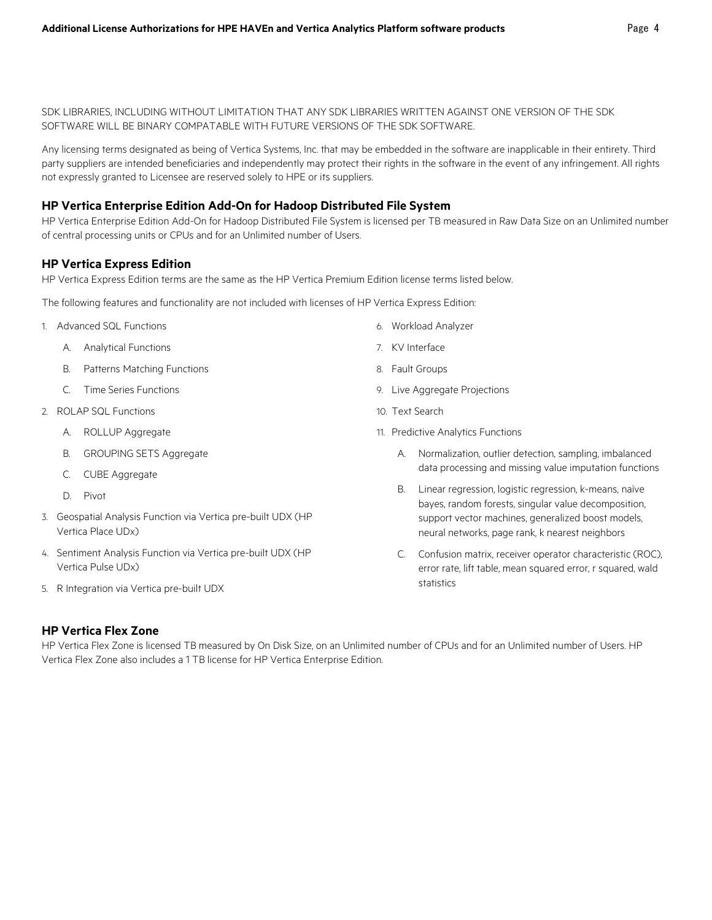SDK LIBRARIES, INCLUDING WITHOUT LIMITATION THAT ANY SDK LIBRARIES WRITTEN AGAINST ONE VERSION OF THE SDK SOFTWARE WILL BE BINARY COMPATABLE WITH FUTURE VERSIONS OF THE SDK SOFTWARE.

Any licensing terms designated as being of Vertica Systems, Inc. that may be embedded in the software are inapplicable in their entirety. Third party suppliers are intended beneficiaries and independently may protect their rights in the software in the event of any infringement. All rights not expressly granted to Licensee are reserved solely to HPE or its suppliers.

#### **HP Vertica Enterprise Edition Add-On for Hadoop Distributed File System**

HP Vertica Enterprise Edition Add-On for Hadoop Distributed File System is licensed per TB measured in Raw Data Size on an Unlimited number of central processing units or CPUs and for an Unlimited number of Users.

#### **HP Vertica Express Edition**

HP Vertica Express Edition terms are the same as the HP Vertica Premium Edition license terms listed below.

The following features and functionality are not included with licenses of HP Vertica Express Edition:

- 1. Advanced SQL Functions
	- A. Analytical Functions
	- B. Patterns Matching Functions
	- C. Time Series Functions
- 2. ROLAP SQL Functions
	- A. ROLLUP Aggregate
	- B. GROUPING SETS Aggregate
	- C. CUBE Aggregate
	- D. Pivot
- 3. Geospatial Analysis Function via Vertica pre-built UDX (HP Vertica Place UDx)
- 4. Sentiment Analysis Function via Vertica pre-built UDX (HP Vertica Pulse UDx)
- 5. R Integration via Vertica pre-built UDX
- 6. Workload Analyzer
- 7. KV Interface
- 8. Fault Groups
- 9. Live Aggregate Projections
- 10. Text Search
- 11. Predictive Analytics Functions
	- A. Normalization, outlier detection, sampling, imbalanced data processing and missing value imputation functions
	- B. Linear regression, logistic regression, k-means, naïve bayes, random forests, singular value decomposition, support vector machines, generalized boost models, neural networks, page rank, k nearest neighbors
	- C. Confusion matrix, receiver operator characteristic (ROC), error rate, lift table, mean squared error, r squared, wald statistics

#### **HP Vertica Flex Zone**

HP Vertica Flex Zone is licensed TB measured by On Disk Size, on an Unlimited number of CPUs and for an Unlimited number of Users. HP Vertica Flex Zone also includes a 1 TB license for HP Vertica Enterprise Edition.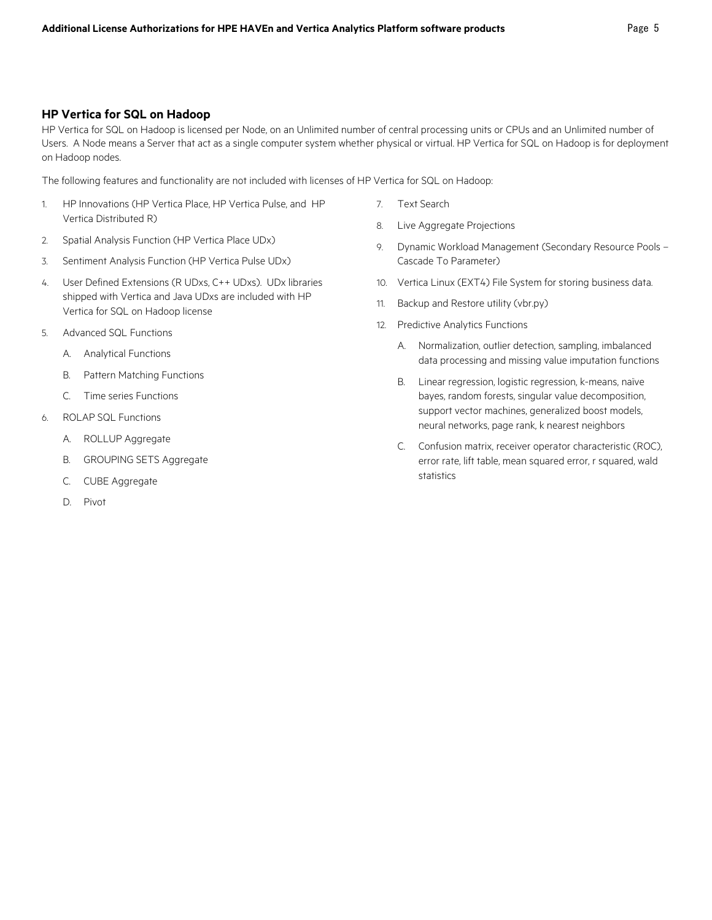#### **HP Vertica for SQL on Hadoop**

HP Vertica for SQL on Hadoop is licensed per Node, on an Unlimited number of central processing units or CPUs and an Unlimited number of Users. A Node means a Server that act as a single computer system whether physical or virtual. HP Vertica for SQL on Hadoop is for deployment on Hadoop nodes.

The following features and functionality are not included with licenses of HP Vertica for SQL on Hadoop:

- 1. HP Innovations (HP Vertica Place, HP Vertica Pulse, and HP Vertica Distributed R)
- 2. Spatial Analysis Function (HP Vertica Place UDx)
- 3. Sentiment Analysis Function (HP Vertica Pulse UDx)
- 4. User Defined Extensions (R UDxs, C++ UDxs). UDx libraries shipped with Vertica and Java UDxs are included with HP Vertica for SQL on Hadoop license
- 5. Advanced SQL Functions
	- A. Analytical Functions
	- B. Pattern Matching Functions
	- C. Time series Functions
- 6. ROLAP SQL Functions
	- A. ROLLUP Aggregate
	- B. GROUPING SETS Aggregate
	- C. CUBE Aggregate
	- D. Pivot
- 7. Text Search
- 8. Live Aggregate Projections
- 9. Dynamic Workload Management (Secondary Resource Pools Cascade To Parameter)
- 10. Vertica Linux (EXT4) File System for storing business data.
- 11. Backup and Restore utility (vbr.py)
- 12. Predictive Analytics Functions
	- A. Normalization, outlier detection, sampling, imbalanced data processing and missing value imputation functions
	- B. Linear regression, logistic regression, k-means, naïve bayes, random forests, singular value decomposition, support vector machines, generalized boost models, neural networks, page rank, k nearest neighbors
	- C. Confusion matrix, receiver operator characteristic (ROC), error rate, lift table, mean squared error, r squared, wald statistics